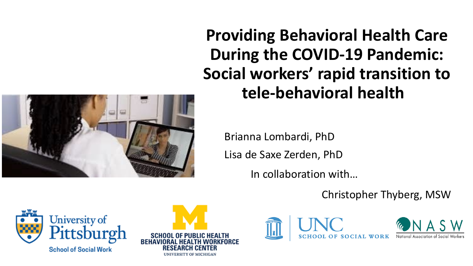

**Providing Behavioral Health Care During the COVID-19 Pandemic: Social workers' rapid transition to tele-behavioral health** 

Brianna Lombardi, PhD Lisa de Saxe Zerden, PhD

In collaboration with…

Christopher Thyberg, MSW







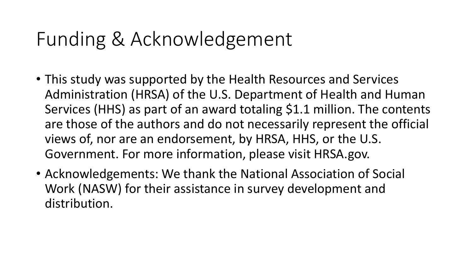### Funding & Acknowledgement

- This study was supported by the Health Resources and Services Administration (HRSA) of the U.S. Department of Health and Human Services (HHS) as part of an award totaling \$1.1 million. The contents are those of the authors and do not necessarily represent the official views of, nor are an endorsement, by HRSA, HHS, or the U.S. Government. For more information, please visit HRSA.gov.
- Acknowledgements: We thank the National Association of Social Work (NASW) for their assistance in survey development and distribution.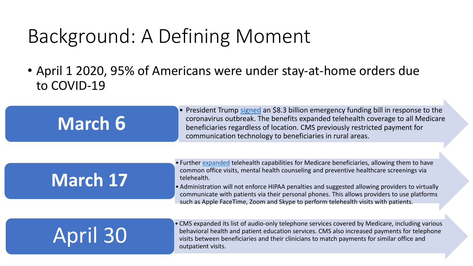## Background: A Defining Moment

• April 1 2020, 95% of Americans were under stay-at-home orders due to COVID-19

| March 6         | • President Trump signed an \$8.3 billion emergency funding bill in response to the<br>coronavirus outbreak. The benefits expanded telehealth coverage to all Medicare<br>beneficiaries regardless of location. CMS previously restricted payment for<br>communication technology to beneficiaries in rural areas.                                                                                       |
|-----------------|----------------------------------------------------------------------------------------------------------------------------------------------------------------------------------------------------------------------------------------------------------------------------------------------------------------------------------------------------------------------------------------------------------|
|                 |                                                                                                                                                                                                                                                                                                                                                                                                          |
| March 17        | • Further expanded telehealth capabilities for Medicare beneficiaries, allowing them to have<br>common office visits, mental health counseling and preventive healthcare screenings via<br>telehealth.<br>• Administration will not enforce HIPAA penalties and suggested allowing providers to virtually<br>communicate with patients via their personal phones. This allows providers to use platforms |
|                 | such as Apple FaceTime, Zoom and Skype to perform telehealth visits with patients.                                                                                                                                                                                                                                                                                                                       |
| <b>April 30</b> | • CMS expanded its list of audio-only telephone services covered by Medicare, including various<br>behavioral health and patient education services. CMS also increased payments for telephone<br>visits between beneficiaries and their clinicians to match payments for similar office and<br>outpatient visits.                                                                                       |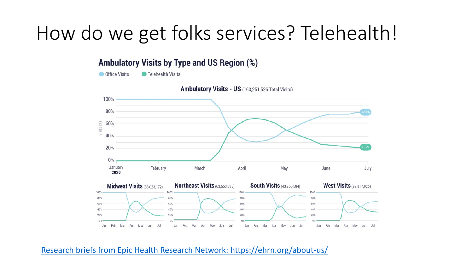### How do we get folks services? Telehealth!

#### **Ambulatory Visits by Type and US Region (%)**

**Office Visits Telehealth Visits** 



Ambulatory Visits - US (163,251,526 Total Visits)

#### [Research briefs from Epic Health Research Network: https://ehrn.org/about-us/](https://ehrn.org/about-us/)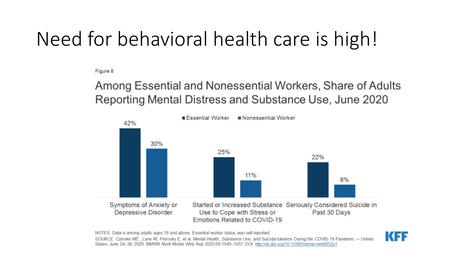## Need for behavioral health care is high!

Figure 8

#### Among Essential and Nonessential Workers, Share of Adults Reporting Mental Distress and Substance Use, June 2020



NOTES: Data is among adults ages 18 and above. Essential worker status was self-reported.

SOURCE: Czeisler MÉ, Lane RI, Petrosky E, et al. Mental Health, Substance Use, and Suicidal Ideation During the COVID-19 Pandemic -- United States, June 24-30, 2020, MMWR Morb Mortal Wkly Rep 2020;69:1049-1057, DOI: http://dx.doi.org/10.15585/mmwr.mm6932a1

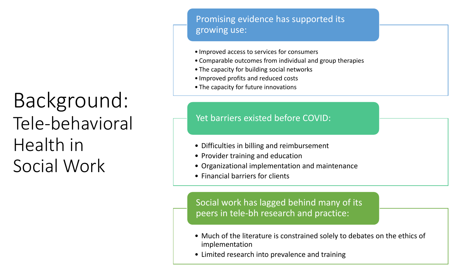### Background: Tele-behavioral Health in Social Work

#### Promising evidence has supported its growing use:

- Improved access to services for consumers
- Comparable outcomes from individual and group therapies
- The capacity for building social networks
- Improved profits and reduced costs
- The capacity for future innovations

#### Yet barriers existed before COVID:

- Difficulties in billing and reimbursement
- Provider training and education
- Organizational implementation and maintenance
- Financial barriers for clients

Social work has lagged behind many of its peers in tele-bh research and practice:

- Much of the literature is constrained solely to debates on the ethics of implementation
- Limited research into prevalence and training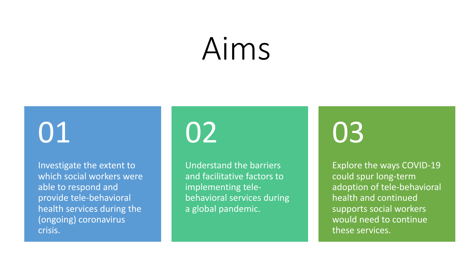# Aims

# 01

Investigate the extent to which social workers were able to respond and provide tele-behavioral health services during the (ongoing) coronavirus crisis.

# 02

Understand the barriers and facilitative factors to implementing telebehavioral services during a global pandemic.

# 03

Explore the ways COVID-19 could spur long-term adoption of tele-behavioral health and continued supports social workers would need to continue these services.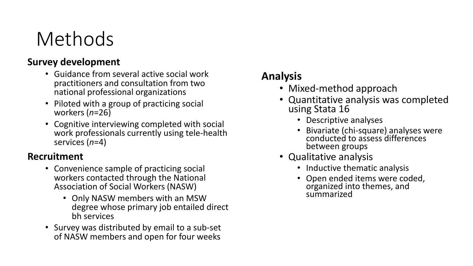## Methods

#### **Survey development**

- Guidance from several active social work practitioners and consultation from two national professional organizations
- Piloted with a group of practicing social workers (*n*=26)
- Cognitive interviewing completed with social work professionals currently using tele-health services (*n*=4)

#### **Recruitment**

- Convenience sample of practicing social workers contacted through the National Association of Social Workers (NASW)
	- Only NASW members with an MSW degree whose primary job entailed direct bh services
- Survey was distributed by email to a sub-set of NASW members and open for four weeks

#### **Analysis**

- Mixed-method approach
- Quantitative analysis was completed using Stata 16
	- Descriptive analyses
	- Bivariate (chi-square) analyses were conducted to assess differences between groups
- Qualitative analysis
	- Inductive thematic analysis
	- Open ended items were coded, organized into themes, and summarized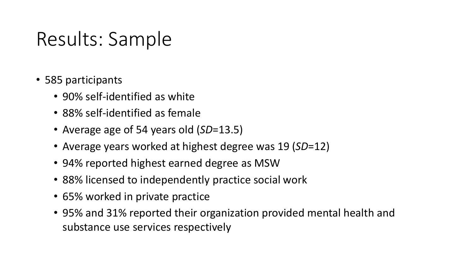### Results: Sample

- 585 participants
	- 90% self-identified as white
	- 88% self-identified as female
	- Average age of 54 years old (*SD*=13.5)
	- Average years worked at highest degree was 19 (*SD*=12)
	- 94% reported highest earned degree as MSW
	- 88% licensed to independently practice social work
	- 65% worked in private practice
	- 95% and 31% reported their organization provided mental health and substance use services respectively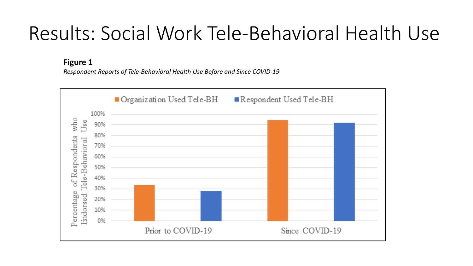### Results: Social Work Tele-Behavioral Health Use

**Figure 1**

*Respondent Reports of Tele-Behavioral Health Use Before and Since COVID-19*

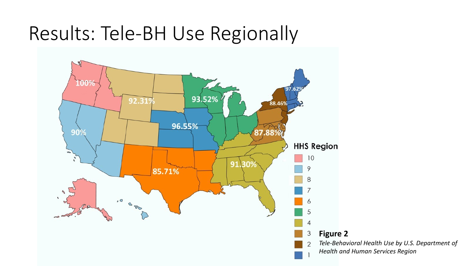### Results: Tele-BH Use Regionally



*Tele-Behavioral Health Use by U.S. Department of Health and Human Services Region*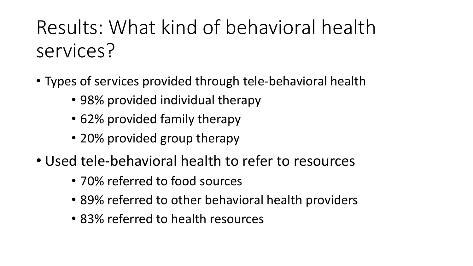Results: What kind of behavioral health services?

- Types of services provided through tele-behavioral health
	- 98% provided individual therapy
	- 62% provided family therapy
	- 20% provided group therapy
- Used tele-behavioral health to refer to resources
	- 70% referred to food sources
	- 89% referred to other behavioral health providers
	- 83% referred to health resources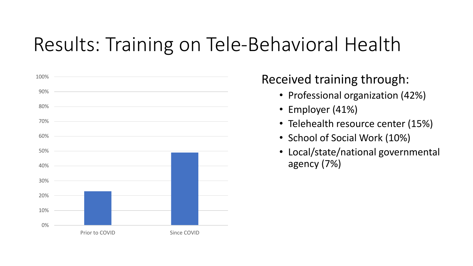## Results: Training on Tele-Behavioral Health



Received training through:

- Professional organization (42%)
- Employer (41%)
- Telehealth resource center (15%)
- School of Social Work (10%)
- Local/state/national governmental agency (7%)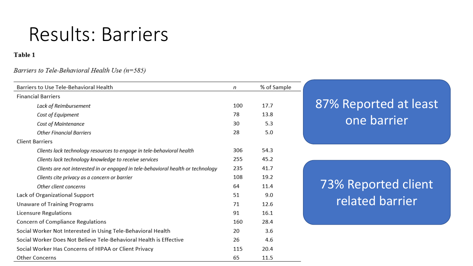#### Results: Barriers

#### Table 1

#### Barriers to Tele-Behavioral Health Use  $(n=585)$

| Barriers to Use Tele-Behavioral Health                                           |     | % of Sample |
|----------------------------------------------------------------------------------|-----|-------------|
| <b>Financial Barriers</b>                                                        |     |             |
| Lack of Reimbursement                                                            |     | 17.7        |
| Cost of Equipment                                                                | 78  | 13.8        |
| Cost of Maintenance                                                              | 30  | 5.3         |
| <b>Other Financial Barriers</b>                                                  | 28  | 5.0         |
| <b>Client Barriers</b>                                                           |     |             |
| Clients lack technology resources to engage in tele-behavioral health            | 306 | 54.3        |
| Clients lack technology knowledge to receive services                            | 255 | 45.2        |
| Clients are not interested in or engaged in tele-behavioral health or technology | 235 | 41.7        |
| Clients cite privacy as a concern or barrier                                     | 108 | 19.2        |
| Other client concerns                                                            | 64  | 11.4        |
| Lack of Organizational Support                                                   | 51  | 9.0         |
| Unaware of Training Programs                                                     | 71  | 12.6        |
| Licensure Regulations                                                            |     | 16.1        |
| Concern of Compliance Regulations                                                |     | 28.4        |
| Social Worker Not Interested in Using Tele-Behavioral Health                     |     | 3.6         |
| Social Worker Does Not Believe Tele-Behavioral Health is Effective               |     | 4.6         |
| Social Worker Has Concerns of HIPAA or Client Privacy                            |     | 20.4        |
| <b>Other Concerns</b>                                                            |     | 11.5        |

#### 87% Reported at least one barrier

#### 73% Reported client related barrier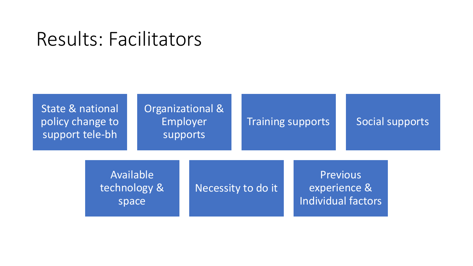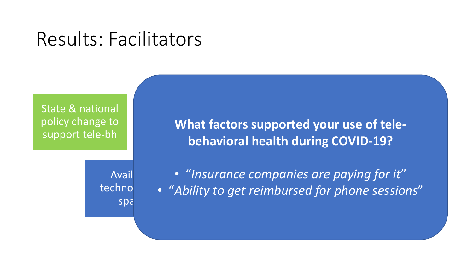State & national policy change to support tele-bh

What factors supported your use of telesupports and the support of the support of the support of the support of the support of the support of the sup<br>Support of the support of the support of the support of the support of the support of the support of the suppo **behavioral health during COVID-19?**

Avail technol spa

lity to get reimbursed for phone s  $\bullet$  "Insurance companies are paying for it" Individual factors • "*Ability to get reimbursed for phone sessions*"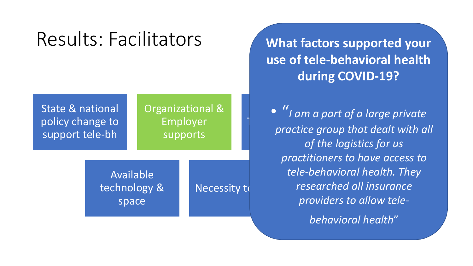State & national policy change to support tele-bh

#### Organizational & Employer supports

Available technology & space

Necessity to

**What factors supported your use of tele-behavioral health during COVID-19?**

Training part of a range private Previous *tele-behavioral health. They*  experience & *researched all insurance*  providers to allow tele-• "*I am a part of a large private practice group that dealt with all of the logistics for us practitioners to have access to* 

*behavioral health*"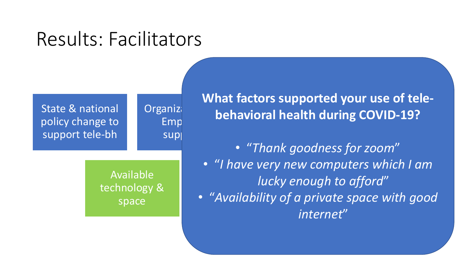State & national policy change to support tele-bh

> Available technology & space

Organiza

Emp

sup

Training complete. **What factors supported your use of telebehavioral health during COVID-19?**

- "*Thank goodness for zoom*"
- necessity to do it is a series of the control of the control of the control of the control of the control of t<br>The control of the control of the control of the control of the control of the control of the control of the c n<br>Previous de agn to affor<br>. • "*I have very new computers which I am lucky enough to afford*"
- "Availability of a private space with good *internet*"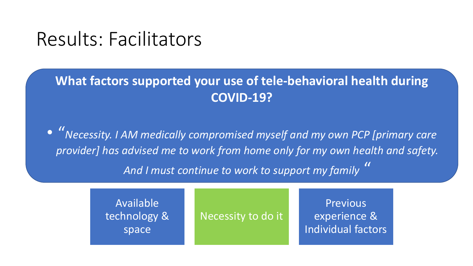#### **What factors supported your use of tele-behavioral health during COVID-19?**

 $\bullet$  "Necessity. I AM medically compromised myself and my own PCP [primary care provider] has advised me to work from home only for my own health and safety. supports *And I must continue to work to support my family* "

> Available technology & space

Necessity to do it

**Previous** experience & Individual factors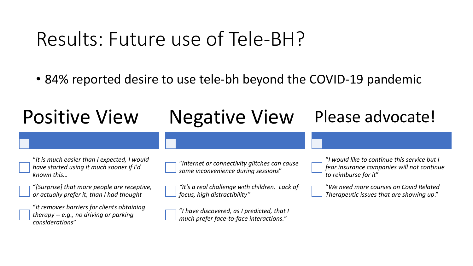### Results: Future use of Tele-BH?

• 84% reported desire to use tele-bh beyond the COVID-19 pandemic

#### Positive View "*It is much easier than I expected, I would have started using it much sooner if I'd known this…* "*[Surprise] that more people are receptive, or actually prefer it, than I had thought* "*it removes barriers for clients obtaining therapy -- e.g., no driving or parking considerations*" Negative View "*Internet or connectivity glitches can cause some inconvenience during sessions*" *"It's a real challenge with children. Lack of focus, high distractibility"* "*I have discovered, as I predicted, that I much prefer face-to-face interactions.*" Please advocate! "*I would like to continue this service but I fear insurance companies will not continue to reimburse for it*" "*We need more courses on Covid Related Therapeutic issues that are showing up*."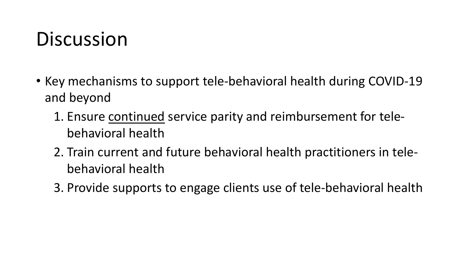## **Discussion**

- Key mechanisms to support tele-behavioral health during COVID-19 and beyond
	- 1. Ensure continued service parity and reimbursement for telebehavioral health
	- 2. Train current and future behavioral health practitioners in telebehavioral health
	- 3. Provide supports to engage clients use of tele-behavioral health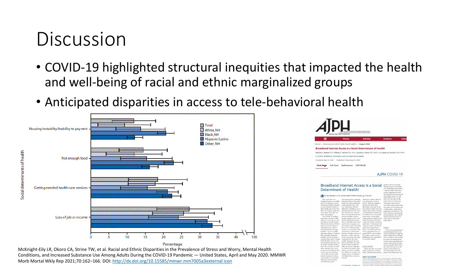### Discussion

- COVID-19 highlighted structural inequities that impacted the health and well-being of racial and ethnic marginalized groups
- Anticipated disparities in access to tele-behavioral health



McKnight-Eily LR, Okoro CA, Strine TW, et al. Racial and Ethnic Disparities in the Prevalence of Stress and Worry, Mental Health Conditions, and Increased Substance Use Among Adults During the COVID-19 Pandemic — United States, April and May 2020. MMWR Morb Mortal Wkly Rep 2021;70:162–166. DOI: [http://dx.doi.org/10.15585/mmwr.mm7005a3external icon](http://dx.doi.org/10.15585/mmwr.mm7005a3)